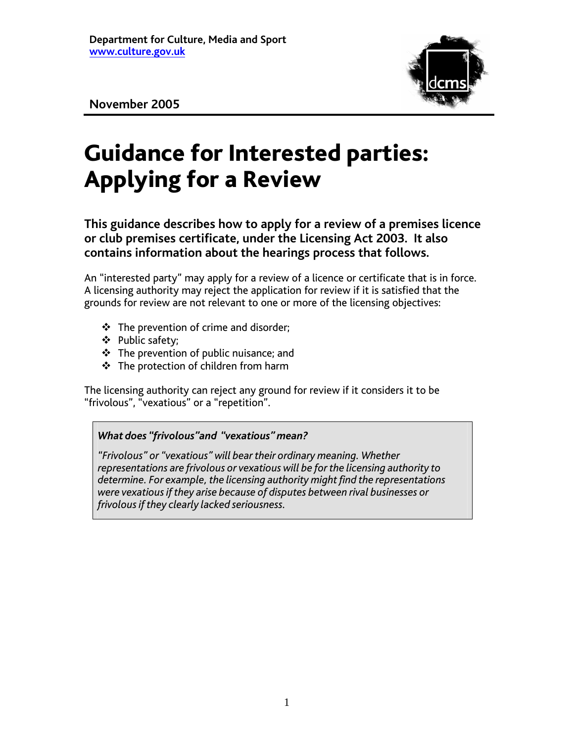

**November 2005** 

# Guidance for Interested parties: Applying for a Review

**This guidance describes how to apply for a review of a premises licence or club premises certificate, under the Licensing Act 2003. It also contains information about the hearings process that follows.** 

An "interested party" may apply for a review of a licence or certificate that is in force. A licensing authority may reject the application for review if it is satisfied that the grounds for review are not relevant to one or more of the licensing objectives:

- $\div$  The prevention of crime and disorder;
- ❖ Public safety;
- The prevention of public nuisance; and
- **❖** The protection of children from harm

The licensing authority can reject any ground for review if it considers it to be "frivolous", "vexatious" or a "repetition".

# *What does "frivolous"and "vexatious" mean?*

*"Frivolous" or "vexatious" will bear their ordinary meaning. Whether representations are frivolous or vexatious will be for the licensing authority to determine. For example, the licensing authority might find the representations were vexatious if they arise because of disputes between rival businesses or frivolous if they clearly lacked seriousness.*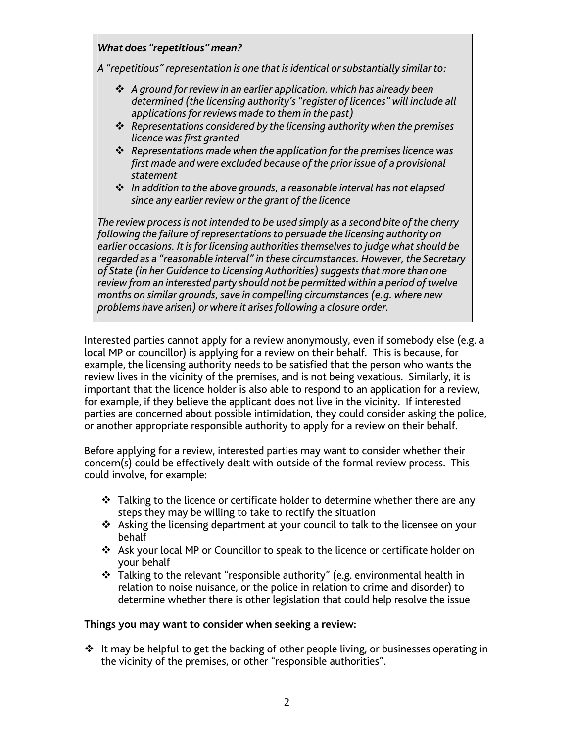# *What does "repetitious" mean?*

*A "repetitious" representation is one that is identical or substantially similar to:* 

- *A ground for review in an earlier application, which has already been determined (the licensing authority's "register of licences" will include all applications for reviews made to them in the past)*
- *Representations considered by the licensing authority when the premises licence was first granted*
- *Representations made when the application for the premises licence was first made and were excluded because of the prior issue of a provisional statement*
- *In addition to the above grounds, a reasonable interval has not elapsed since any earlier review or the grant of the licence*

*The review process is not intended to be used simply as a second bite of the cherry following the failure of representations to persuade the licensing authority on earlier occasions. It is for licensing authorities themselves to judge what should be regarded as a "reasonable interval" in these circumstances. However, the Secretary of State (in her Guidance to Licensing Authorities) suggests that more than one review from an interested party should not be permitted within a period of twelve months on similar grounds, save in compelling circumstances (e.g. where new problems have arisen) or where it arises following a closure order.* 

Interested parties cannot apply for a review anonymously, even if somebody else (e.g. a local MP or councillor) is applying for a review on their behalf. This is because, for example, the licensing authority needs to be satisfied that the person who wants the review lives in the vicinity of the premises, and is not being vexatious. Similarly, it is important that the licence holder is also able to respond to an application for a review, for example, if they believe the applicant does not live in the vicinity. If interested parties are concerned about possible intimidation, they could consider asking the police, or another appropriate responsible authority to apply for a review on their behalf.

Before applying for a review, interested parties may want to consider whether their concern(s) could be effectively dealt with outside of the formal review process. This could involve, for example:

- $\div$  Talking to the licence or certificate holder to determine whether there are any steps they may be willing to take to rectify the situation
- Asking the licensing department at your council to talk to the licensee on your behalf
- Ask your local MP or Councillor to speak to the licence or certificate holder on your behalf
- Talking to the relevant "responsible authority" (e.g. environmental health in relation to noise nuisance, or the police in relation to crime and disorder) to determine whether there is other legislation that could help resolve the issue

# **Things you may want to consider when seeking a review:**

 $\cdot$  It may be helpful to get the backing of other people living, or businesses operating in the vicinity of the premises, or other "responsible authorities".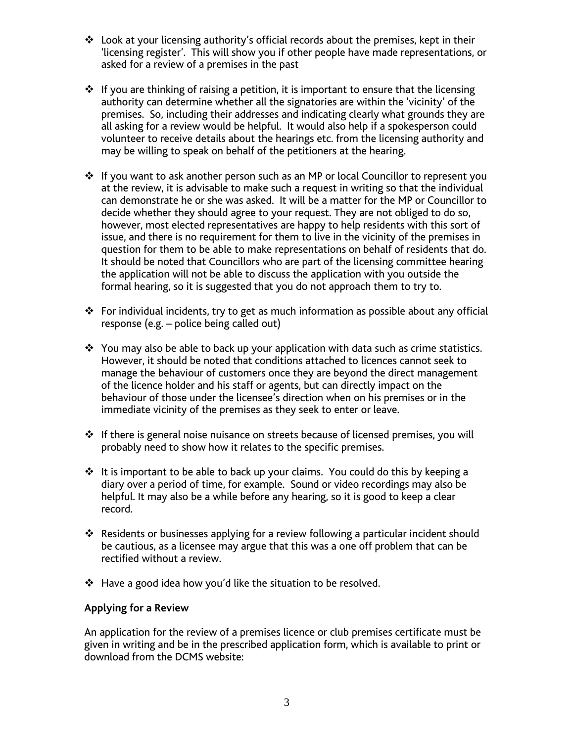- Look at your licensing authority's official records about the premises, kept in their 'licensing register'. This will show you if other people have made representations, or asked for a review of a premises in the past
- $\div$  If you are thinking of raising a petition, it is important to ensure that the licensing authority can determine whether all the signatories are within the 'vicinity' of the premises. So, including their addresses and indicating clearly what grounds they are all asking for a review would be helpful. It would also help if a spokesperson could volunteer to receive details about the hearings etc. from the licensing authority and may be willing to speak on behalf of the petitioners at the hearing.
- ❖ If you want to ask another person such as an MP or local Councillor to represent you at the review, it is advisable to make such a request in writing so that the individual can demonstrate he or she was asked. It will be a matter for the MP or Councillor to decide whether they should agree to your request. They are not obliged to do so, however, most elected representatives are happy to help residents with this sort of issue, and there is no requirement for them to live in the vicinity of the premises in question for them to be able to make representations on behalf of residents that do. It should be noted that Councillors who are part of the licensing committee hearing the application will not be able to discuss the application with you outside the formal hearing, so it is suggested that you do not approach them to try to.
- For individual incidents, try to get as much information as possible about any official response (e.g. – police being called out)
- $\cdot$  You may also be able to back up your application with data such as crime statistics. However, it should be noted that conditions attached to licences cannot seek to manage the behaviour of customers once they are beyond the direct management of the licence holder and his staff or agents, but can directly impact on the behaviour of those under the licensee's direction when on his premises or in the immediate vicinity of the premises as they seek to enter or leave.
- $\cdot \cdot$  If there is general noise nuisance on streets because of licensed premises, you will probably need to show how it relates to the specific premises.
- $\div$  It is important to be able to back up your claims. You could do this by keeping a diary over a period of time, for example. Sound or video recordings may also be helpful. It may also be a while before any hearing, so it is good to keep a clear record.
- Residents or businesses applying for a review following a particular incident should be cautious, as a licensee may argue that this was a one off problem that can be rectified without a review.
- Have a good idea how you'd like the situation to be resolved.

## **Applying for a Review**

An application for the review of a premises licence or club premises certificate must be given in writing and be in the prescribed application form, which is available to print or download from the DCMS website: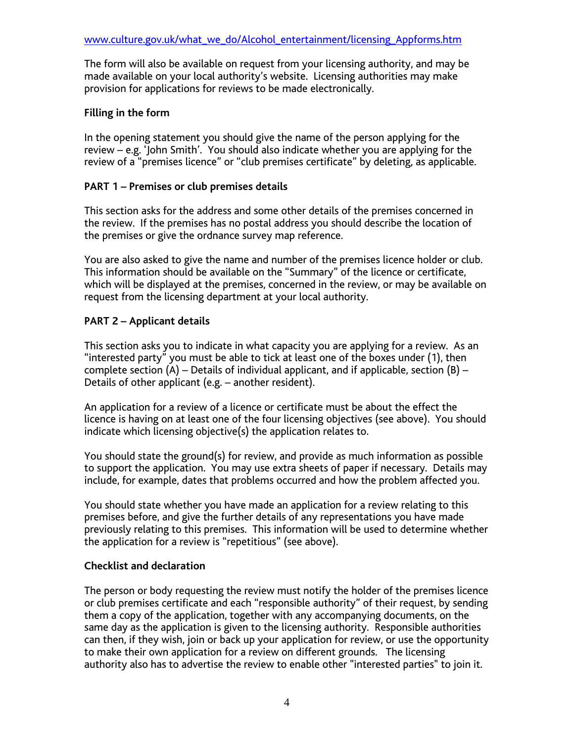The form will also be available on request from your licensing authority, and may be made available on your local authority's website. Licensing authorities may make provision for applications for reviews to be made electronically.

# **Filling in the form**

In the opening statement you should give the name of the person applying for the review – e.g. 'John Smith'. You should also indicate whether you are applying for the review of a "premises licence" or "club premises certificate" by deleting, as applicable.

# **PART 1 – Premises or club premises details**

This section asks for the address and some other details of the premises concerned in the review. If the premises has no postal address you should describe the location of the premises or give the ordnance survey map reference.

You are also asked to give the name and number of the premises licence holder or club. This information should be available on the "Summary" of the licence or certificate, which will be displayed at the premises, concerned in the review, or may be available on request from the licensing department at your local authority.

# **PART 2 – Applicant details**

This section asks you to indicate in what capacity you are applying for a review. As an "interested party" you must be able to tick at least one of the boxes under (1), then complete section  $(A)$  – Details of individual applicant, and if applicable, section  $(B)$  – Details of other applicant (e.g. – another resident).

An application for a review of a licence or certificate must be about the effect the licence is having on at least one of the four licensing objectives (see above). You should indicate which licensing objective(s) the application relates to.

You should state the ground(s) for review, and provide as much information as possible to support the application. You may use extra sheets of paper if necessary. Details may include, for example, dates that problems occurred and how the problem affected you.

You should state whether you have made an application for a review relating to this premises before, and give the further details of any representations you have made previously relating to this premises. This information will be used to determine whether the application for a review is "repetitious" (see above).

# **Checklist and declaration**

The person or body requesting the review must notify the holder of the premises licence or club premises certificate and each "responsible authority" of their request, by sending them a copy of the application, together with any accompanying documents, on the same day as the application is given to the licensing authority. Responsible authorities can then, if they wish, join or back up your application for review, or use the opportunity to make their own application for a review on different grounds. The licensing authority also has to advertise the review to enable other "interested parties" to join it.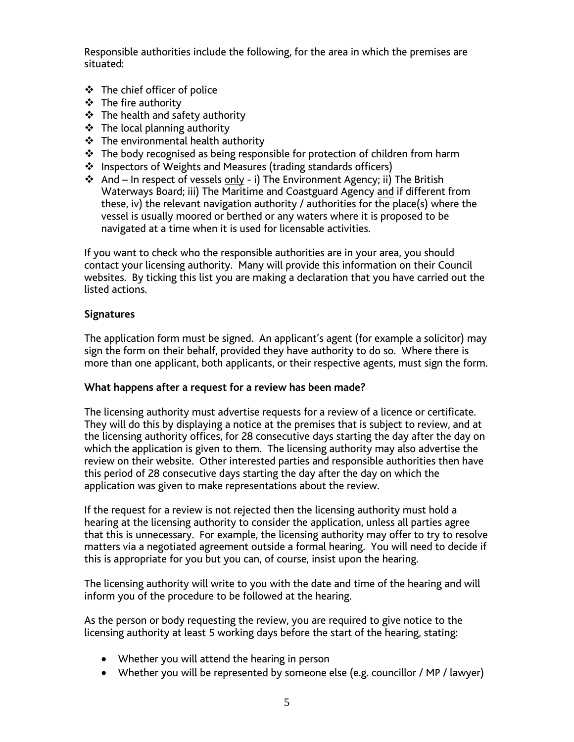Responsible authorities include the following, for the area in which the premises are situated:

- The chief officer of police
- The fire authority
- $\div$  The health and safety authority
- The local planning authority
- **❖** The environmental health authority
- \* The body recognised as being responsible for protection of children from harm
- ❖ Inspectors of Weights and Measures (trading standards officers)
- And In respect of vessels only i) The Environment Agency; ii) The British Waterways Board; iii) The Maritime and Coastguard Agency and if different from these, iv) the relevant navigation authority / authorities for the place(s) where the vessel is usually moored or berthed or any waters where it is proposed to be navigated at a time when it is used for licensable activities.

If you want to check who the responsible authorities are in your area, you should contact your licensing authority. Many will provide this information on their Council websites. By ticking this list you are making a declaration that you have carried out the listed actions.

## **Signatures**

The application form must be signed. An applicant's agent (for example a solicitor) may sign the form on their behalf, provided they have authority to do so. Where there is more than one applicant, both applicants, or their respective agents, must sign the form.

## **What happens after a request for a review has been made?**

The licensing authority must advertise requests for a review of a licence or certificate. They will do this by displaying a notice at the premises that is subject to review, and at the licensing authority offices, for 28 consecutive days starting the day after the day on which the application is given to them. The licensing authority may also advertise the review on their website. Other interested parties and responsible authorities then have this period of 28 consecutive days starting the day after the day on which the application was given to make representations about the review.

If the request for a review is not rejected then the licensing authority must hold a hearing at the licensing authority to consider the application, unless all parties agree that this is unnecessary. For example, the licensing authority may offer to try to resolve matters via a negotiated agreement outside a formal hearing. You will need to decide if this is appropriate for you but you can, of course, insist upon the hearing.

The licensing authority will write to you with the date and time of the hearing and will inform you of the procedure to be followed at the hearing.

As the person or body requesting the review, you are required to give notice to the licensing authority at least 5 working days before the start of the hearing, stating:

- Whether you will attend the hearing in person
- Whether you will be represented by someone else (e.g. councillor / MP / lawyer)